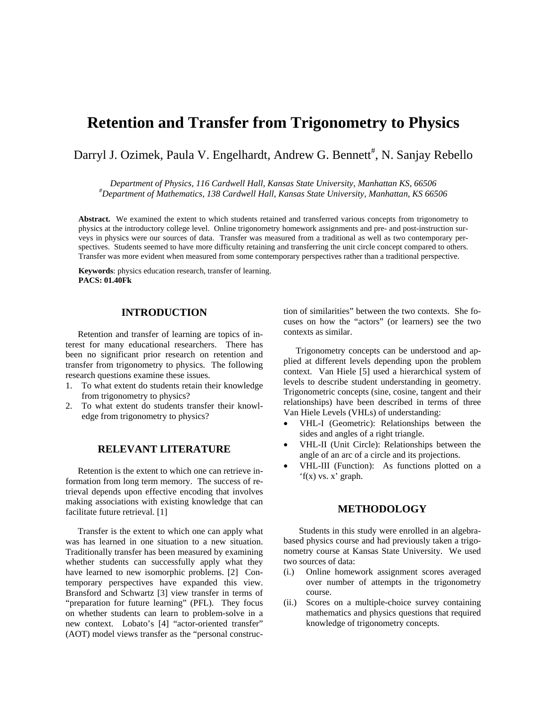# **Retention and Transfer from Trigonometry to Physics**

Darryl J. Ozimek, Paula V. Engelhardt, Andrew G. Bennett<sup>#</sup>, N. Sanjay Rebello

*Department of Physics, 116 Cardwell Hall, Kansas State University, Manhattan KS, 66506 # Department of Mathematics, 138 Cardwell Hall, Kansas State University, Manhattan, KS 66506* 

**Abstract.** We examined the extent to which students retained and transferred various concepts from trigonometry to physics at the introductory college level. Online trigonometry homework assignments and pre- and post-instruction surveys in physics were our sources of data. Transfer was measured from a traditional as well as two contemporary perspectives. Students seemed to have more difficulty retaining and transferring the unit circle concept compared to others. Transfer was more evident when measured from some contemporary perspectives rather than a traditional perspective.

**Keywords**: physics education research, transfer of learning. **PACS: 01.40Fk**

# **INTRODUCTION**

Retention and transfer of learning are topics of interest for many educational researchers. There has been no significant prior research on retention and transfer from trigonometry to physics. The following research questions examine these issues.

- 1. To what extent do students retain their knowledge from trigonometry to physics?
- 2. To what extent do students transfer their knowledge from trigonometry to physics?

# **RELEVANT LITERATURE**

Retention is the extent to which one can retrieve information from long term memory. The success of retrieval depends upon effective encoding that involves making associations with existing knowledge that can facilitate future retrieval. [1]

Transfer is the extent to which one can apply what was has learned in one situation to a new situation. Traditionally transfer has been measured by examining whether students can successfully apply what they have learned to new isomorphic problems. [2] Contemporary perspectives have expanded this view. Bransford and Schwartz [3] view transfer in terms of "preparation for future learning" (PFL). They focus on whether students can learn to problem-solve in a new context. Lobato's [4] "actor-oriented transfer" (AOT) model views transfer as the "personal construction of similarities" between the two contexts. She focuses on how the "actors" (or learners) see the two contexts as similar.

Trigonometry concepts can be understood and applied at different levels depending upon the problem context. Van Hiele [5] used a hierarchical system of levels to describe student understanding in geometry. Trigonometric concepts (sine, cosine, tangent and their relationships) have been described in terms of three Van Hiele Levels (VHLs) of understanding:

- VHL-I (Geometric): Relationships between the sides and angles of a right triangle.
- VHL-II (Unit Circle): Relationships between the angle of an arc of a circle and its projections.
- VHL-III (Function): As functions plotted on a 'f(x) vs. x' graph.

## **METHODOLOGY**

Students in this study were enrolled in an algebrabased physics course and had previously taken a trigonometry course at Kansas State University. We used two sources of data:

- (i.) Online homework assignment scores averaged over number of attempts in the trigonometry course.
- (ii.) Scores on a multiple-choice survey containing mathematics and physics questions that required knowledge of trigonometry concepts.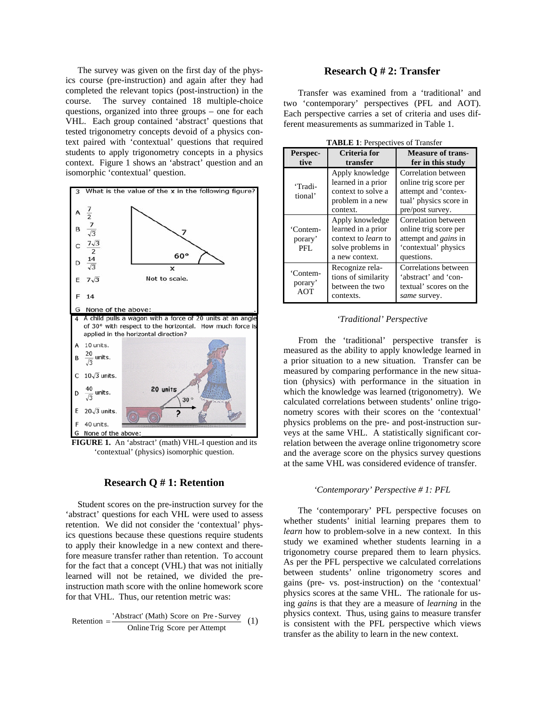The survey was given on the first day of the physics course (pre-instruction) and again after they had completed the relevant topics (post-instruction) in the course. The survey contained 18 multiple-choice questions, organized into three groups – one for each VHL. Each group contained 'abstract' questions that tested trigonometry concepts devoid of a physics context paired with 'contextual' questions that required students to apply trigonometry concepts in a physics context. Figure 1 shows an 'abstract' question and an isomorphic 'contextual' question.



**FIGURE 1.** An 'abstract' (math) VHL-I question and its 'contextual' (physics) isomorphic question.

# **Research Q # 1: Retention**

Student scores on the pre-instruction survey for the 'abstract' questions for each VHL were used to assess retention. We did not consider the 'contextual' physics questions because these questions require students to apply their knowledge in a new context and therefore measure transfer rather than retention. To account for the fact that a concept (VHL) that was not initially learned will not be retained, we divided the preinstruction math score with the online homework score for that VHL. Thus, our retention metric was:

$$
Retention = \frac{Abstract'(Math) Score on Pre-Survey}{Online Trig Score per Attempt}
$$
 (1)

## **Research Q # 2: Transfer**

Transfer was examined from a 'traditional' and two 'contemporary' perspectives (PFL and AOT). Each perspective carries a set of criteria and uses different measurements as summarized in Table 1.

| <b>Criteria</b> for<br><b>Measure of trans-</b> |                                                                                                            |                                                                                                                    |  |  |  |
|-------------------------------------------------|------------------------------------------------------------------------------------------------------------|--------------------------------------------------------------------------------------------------------------------|--|--|--|
| Perspec-<br>tive                                | transfer                                                                                                   | fer in this study                                                                                                  |  |  |  |
| 'Tradi-<br>tional'                              | Apply knowledge<br>learned in a prior<br>context to solve a<br>problem in a new<br>context.                | Correlation between<br>online trig score per<br>attempt and 'contex-<br>tual' physics score in<br>pre/post survey. |  |  |  |
| 'Contem-<br>porary'<br>PFL.                     | Apply knowledge<br>learned in a prior<br>context to <i>learn</i> to<br>solve problems in<br>a new context. | Correlation between<br>online trig score per<br>attempt and <i>gains</i> in<br>'contextual' physics<br>questions.  |  |  |  |
| 'Contem-<br>porary'<br>AOT                      | Recognize rela-<br>tions of similarity<br>between the two<br>contexts.                                     | Correlations between<br>'abstract' and 'con-<br>textual' scores on the<br>same survey.                             |  |  |  |

**TABLE 1**: Perspectives of Transfer

## *'Traditional' Perspective*

From the 'traditional' perspective transfer is measured as the ability to apply knowledge learned in a prior situation to a new situation. Transfer can be measured by comparing performance in the new situation (physics) with performance in the situation in which the knowledge was learned (trigonometry). We calculated correlations between students' online trigonometry scores with their scores on the 'contextual' physics problems on the pre- and post-instruction surveys at the same VHL. A statistically significant correlation between the average online trigonometry score and the average score on the physics survey questions at the same VHL was considered evidence of transfer.

#### *'Contemporary' Perspective # 1: PFL*

The 'contemporary' PFL perspective focuses on whether students' initial learning prepares them to *learn* how to problem-solve in a new context. In this study we examined whether students learning in a trigonometry course prepared them to learn physics. As per the PFL perspective we calculated correlations between students' online trigonometry scores and gains (pre- vs. post-instruction) on the 'contextual' physics scores at the same VHL. The rationale for using *gains* is that they are a measure of *learning* in the physics context. Thus, using gains to measure transfer is consistent with the PFL perspective which views transfer as the ability to learn in the new context.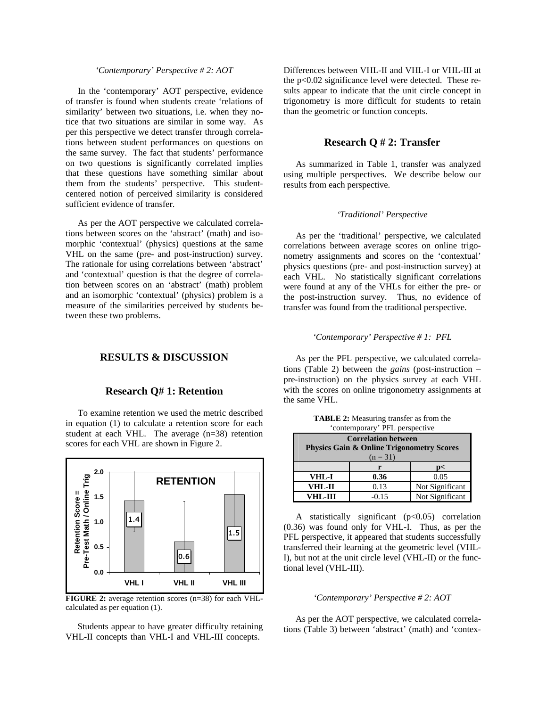#### *'Contemporary' Perspective # 2: AOT*

In the 'contemporary' AOT perspective, evidence of transfer is found when students create 'relations of similarity' between two situations, i.e. when they notice that two situations are similar in some way. As per this perspective we detect transfer through correlations between student performances on questions on the same survey. The fact that students' performance on two questions is significantly correlated implies that these questions have something similar about them from the students' perspective. This studentcentered notion of perceived similarity is considered sufficient evidence of transfer.

As per the AOT perspective we calculated correlations between scores on the 'abstract' (math) and isomorphic 'contextual' (physics) questions at the same VHL on the same (pre- and post-instruction) survey. The rationale for using correlations between 'abstract' and 'contextual' question is that the degree of correlation between scores on an 'abstract' (math) problem and an isomorphic 'contextual' (physics) problem is a measure of the similarities perceived by students between these two problems.

## **RESULTS & DISCUSSION**

### **Research Q# 1: Retention**

To examine retention we used the metric described in equation (1) to calculate a retention score for each student at each VHL. The average (n=38) retention scores for each VHL are shown in Figure 2.



**FIGURE 2:** average retention scores (n=38) for each VHLcalculated as per equation (1).

Students appear to have greater difficulty retaining VHL-II concepts than VHL-I and VHL-III concepts.

Differences between VHL-II and VHL-I or VHL-III at the p<0.02 significance level were detected. These results appear to indicate that the unit circle concept in trigonometry is more difficult for students to retain than the geometric or function concepts.

# **Research Q # 2: Transfer**

As summarized in Table 1, transfer was analyzed using multiple perspectives. We describe below our results from each perspective.

#### *'Traditional' Perspective*

As per the 'traditional' perspective, we calculated correlations between average scores on online trigonometry assignments and scores on the 'contextual' physics questions (pre- and post-instruction survey) at each VHL. No statistically significant correlations were found at any of the VHLs for either the pre- or the post-instruction survey. Thus, no evidence of transfer was found from the traditional perspective.

#### *'Contemporary' Perspective # 1: PFL*

As per the PFL perspective, we calculated correlations (Table 2) between the *gains* (post-instruction − pre-instruction) on the physics survey at each VHL with the scores on online trigonometry assignments at the same VHL.

| <b>TABLE 2:</b> Measuring transfer as from the |
|------------------------------------------------|
| 'contemporary' PFL perspective                 |

| $\bullet$ ontoinpoint; $\bullet$ is $\bullet$ points to $\bullet$                                |         |                 |  |  |
|--------------------------------------------------------------------------------------------------|---------|-----------------|--|--|
| <b>Correlation between</b><br><b>Physics Gain &amp; Online Trigonometry Scores</b><br>$(n = 31)$ |         |                 |  |  |
|                                                                                                  | r       | p<              |  |  |
| VHL-I                                                                                            | 0.36    | 0.05            |  |  |
| VHL-II                                                                                           | 0.13    | Not Significant |  |  |
| VHL-III                                                                                          | $-0.15$ | Not Significant |  |  |

A statistically significant  $(p<0.05)$  correlation (0.36) was found only for VHL-I. Thus, as per the PFL perspective, it appeared that students successfully transferred their learning at the geometric level (VHL-I), but not at the unit circle level (VHL-II) or the functional level (VHL-III).

#### *'Contemporary' Perspective # 2: AOT*

As per the AOT perspective, we calculated correlations (Table 3) between 'abstract' (math) and 'contex